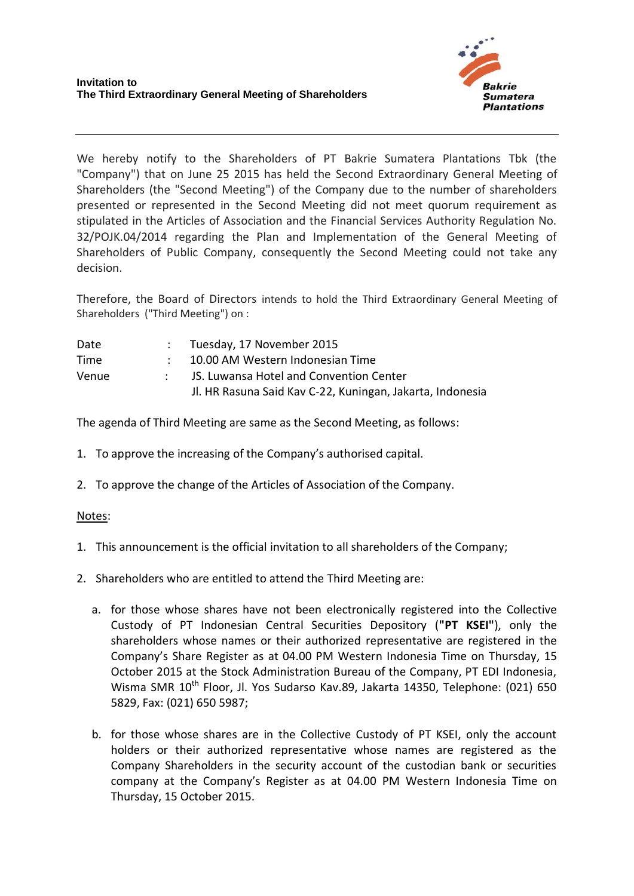

We hereby notify to the Shareholders of PT Bakrie Sumatera Plantations Tbk (the "Company") that on June 25 2015 has held the Second Extraordinary General Meeting of Shareholders (the "Second Meeting") of the Company due to the number of shareholders presented or represented in the Second Meeting did not meet quorum requirement as stipulated in the Articles of Association and the Financial Services Authority Regulation No. 32/POJK.04/2014 regarding the Plan and Implementation of the General Meeting of Shareholders of Public Company, consequently the Second Meeting could not take any decision.

Therefore, the Board of Directors intends to hold the Third Extraordinary General Meeting of Shareholders ("Third Meeting") on :

| Date  | $\therefore$ Tuesday, 17 November 2015                    |
|-------|-----------------------------------------------------------|
| Time  | : 10.00 AM Western Indonesian Time                        |
| Venue | JS. Luwansa Hotel and Convention Center                   |
|       | Jl. HR Rasuna Said Kav C-22, Kuningan, Jakarta, Indonesia |

The agenda of Third Meeting are same as the Second Meeting, as follows:

- 1. To approve the increasing of the Company's authorised capital.
- 2. To approve the change of the Articles of Association of the Company.

## Notes:

- 1. This announcement is the official invitation to all shareholders of the Company;
- 2. Shareholders who are entitled to attend the Third Meeting are:
	- a. for those whose shares have not been electronically registered into the Collective Custody of PT Indonesian Central Securities Depository (**"PT KSEI"**), only the shareholders whose names or their authorized representative are registered in the Company's Share Register as at 04.00 PM Western Indonesia Time on Thursday, 15 October 2015 at the Stock Administration Bureau of the Company, PT EDI Indonesia, Wisma SMR 10<sup>th</sup> Floor, Jl. Yos Sudarso Kav.89, Jakarta 14350, Telephone: (021) 650 5829, Fax: (021) 650 5987;
	- b. for those whose shares are in the Collective Custody of PT KSEI, only the account holders or their authorized representative whose names are registered as the Company Shareholders in the security account of the custodian bank or securities company at the Company's Register as at 04.00 PM Western Indonesia Time on Thursday, 15 October 2015.